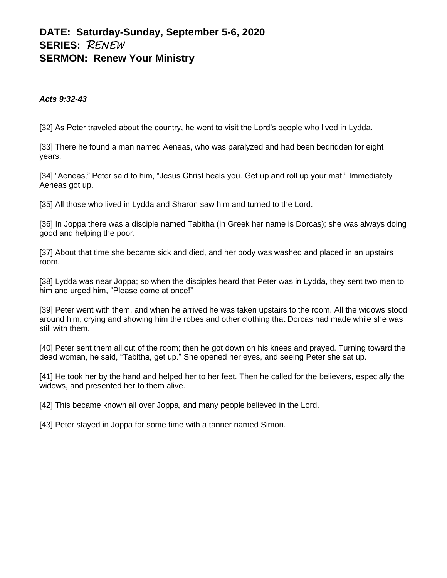# **DATE: Saturday-Sunday, September 5-6, 2020 SERIES:** RENEW **SERMON: Renew Your Ministry**

#### *Acts 9:32-43*

[32] As Peter traveled about the country, he went to visit the Lord's people who lived in Lydda.

[33] There he found a man named Aeneas, who was paralyzed and had been bedridden for eight years.

[34] "Aeneas," Peter said to him, "Jesus Christ heals you. Get up and roll up your mat." Immediately Aeneas got up.

[35] All those who lived in Lydda and Sharon saw him and turned to the Lord.

[36] In Joppa there was a disciple named Tabitha (in Greek her name is Dorcas); she was always doing good and helping the poor.

[37] About that time she became sick and died, and her body was washed and placed in an upstairs room.

[38] Lydda was near Joppa; so when the disciples heard that Peter was in Lydda, they sent two men to him and urged him, "Please come at once!"

[39] Peter went with them, and when he arrived he was taken upstairs to the room. All the widows stood around him, crying and showing him the robes and other clothing that Dorcas had made while she was still with them.

[40] Peter sent them all out of the room; then he got down on his knees and prayed. Turning toward the dead woman, he said, "Tabitha, get up." She opened her eyes, and seeing Peter she sat up.

[41] He took her by the hand and helped her to her feet. Then he called for the believers, especially the widows, and presented her to them alive.

[42] This became known all over Joppa, and many people believed in the Lord.

[43] Peter stayed in Joppa for some time with a tanner named Simon.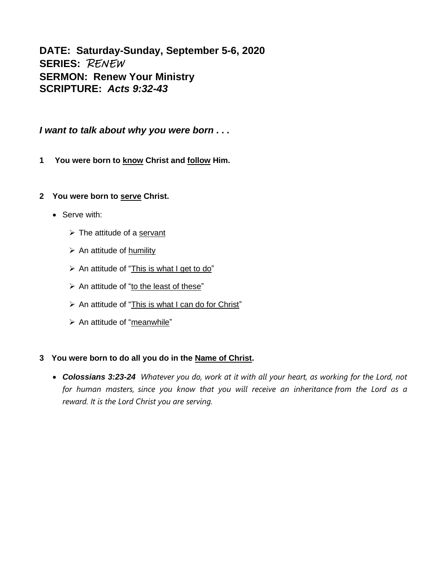**DATE: Saturday-Sunday, September 5-6, 2020 SERIES:** RENEW **SERMON: Renew Your Ministry SCRIPTURE:** *Acts 9:32-43*

*I want to talk about why you were born . . .*

**1 You were born to know Christ and follow Him.**

## **2 You were born to serve Christ.**

- Serve with:
	- ➢ The attitude of a servant
	- $\triangleright$  An attitude of humility
	- $\triangleright$  An attitude of "This is what I get to do"
	- ➢ An attitude of "to the least of these"
	- ➢ An attitude of "This is what I can do for Christ"
	- ➢ An attitude of "meanwhile"

## **3 You were born to do all you do in the Name of Christ.**

• *Colossians 3:23-24 Whatever you do, work at it with all your heart, as working for the Lord, not for human masters, since you know that you will receive an inheritance from the Lord as a reward. It is the Lord Christ you are serving.*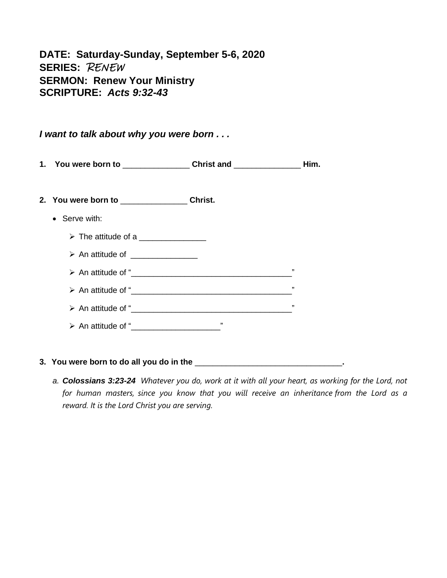**DATE: Saturday-Sunday, September 5-6, 2020 SERIES:** RENEW **SERMON: Renew Your Ministry SCRIPTURE:** *Acts 9:32-43*

*I want to talk about why you were born . . .*

**1. You were born to** \_\_\_\_\_\_\_\_\_\_\_\_\_\_\_ **Christ and** \_\_\_\_\_\_\_\_\_\_\_\_\_\_\_ **Him.**

**2. You were born to** \_\_\_\_\_\_\_\_\_\_\_\_\_\_\_ **Christ.**

- Serve with:
	- $\triangleright$  The attitude of a
	- $\triangleright$  An attitude of
	- ➢ An attitude of "\_\_\_\_\_\_\_\_\_\_\_\_\_\_\_\_\_\_\_\_\_\_\_\_\_\_\_\_\_\_\_\_\_\_\_\_"
	- ➢ An attitude of "\_\_\_\_\_\_\_\_\_\_\_\_\_\_\_\_\_\_\_\_\_\_\_\_\_\_\_\_\_\_\_\_\_\_\_\_"
	- ➢ An attitude of "\_\_\_\_\_\_\_\_\_\_\_\_\_\_\_\_\_\_\_\_\_\_\_\_\_\_\_\_\_\_\_\_\_\_\_\_"
	- ➢ An attitude of "\_\_\_\_\_\_\_\_\_\_\_\_\_\_\_\_\_\_\_\_"

## **3. You were born to do all you do in the** \_\_\_\_\_\_\_\_\_\_\_\_\_\_\_\_\_\_\_\_\_\_\_\_\_\_\_\_\_\_\_\_\_**.**

*a. Colossians 3:23-24 Whatever you do, work at it with all your heart, as working for the Lord, not for human masters, since you know that you will receive an inheritance from the Lord as a reward. It is the Lord Christ you are serving.*